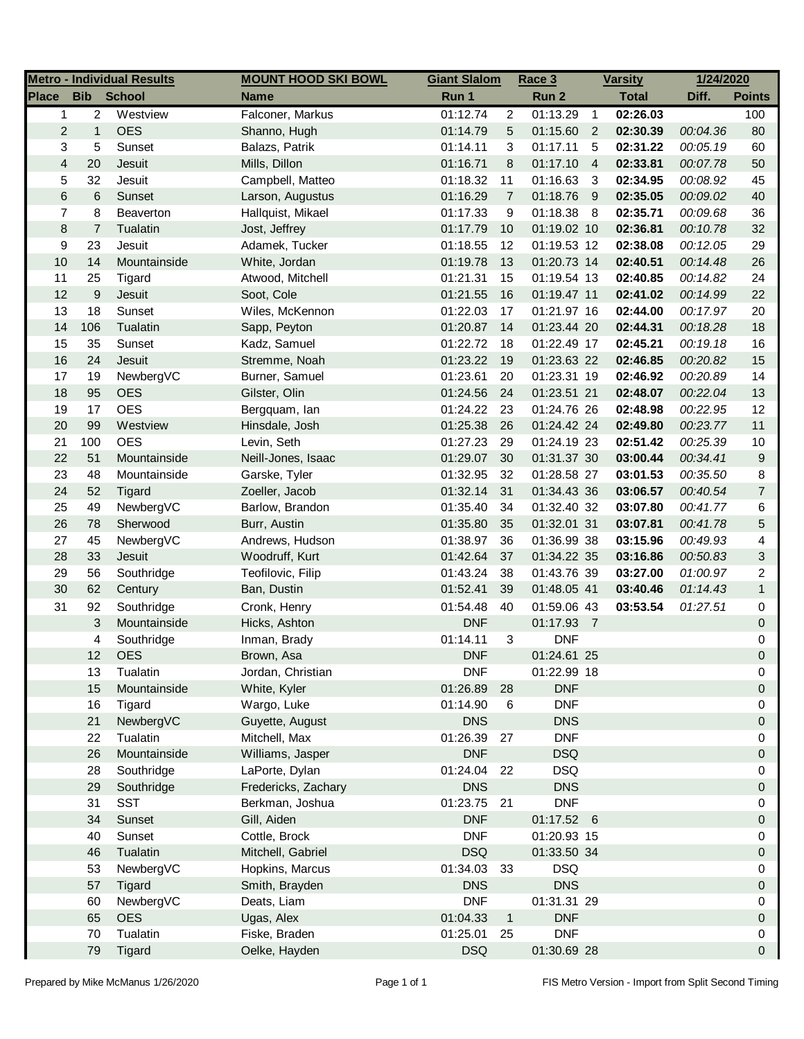|                         |                | <b>Metro - Individual Results</b> | <b>MOUNT HOOD SKI BOWL</b> | <b>Giant Slalom</b> |                | Race 3      |                | <b>Varsity</b> | 1/24/2020 |                |
|-------------------------|----------------|-----------------------------------|----------------------------|---------------------|----------------|-------------|----------------|----------------|-----------|----------------|
| <b>Place</b>            | <b>Bib</b>     | <b>School</b>                     | <b>Name</b>                | Run 1               |                | Run 2       |                | <b>Total</b>   | Diff.     | <b>Points</b>  |
| 1                       | $\overline{c}$ | Westview                          | Falconer, Markus           | 01:12.74            | $\overline{c}$ | 01:13.29    | $\overline{1}$ | 02:26.03       |           | 100            |
| $\overline{c}$          | $\mathbf{1}$   | <b>OES</b>                        | Shanno, Hugh               | 01:14.79            | 5              | 01:15.60    | $\overline{2}$ | 02:30.39       | 00:04.36  | 80             |
| 3                       | 5              | Sunset                            | Balazs, Patrik             | 01:14.11            | 3              | 01:17.11    | 5              | 02:31.22       | 00:05.19  | 60             |
| $\overline{\mathbf{4}}$ | 20             | Jesuit                            | Mills, Dillon              | 01:16.71            | 8              | 01:17.10    | $\overline{4}$ | 02:33.81       | 00:07.78  | 50             |
| 5                       | 32             | Jesuit                            | Campbell, Matteo           | 01:18.32            | 11             | 01:16.63    | 3              | 02:34.95       | 00:08.92  | 45             |
| 6                       | 6              | Sunset                            | Larson, Augustus           | 01:16.29            | $\overline{7}$ | 01:18.76    | - 9            | 02:35.05       | 00:09.02  | 40             |
| 7                       | 8              | Beaverton                         | Hallquist, Mikael          | 01:17.33            | 9              | 01:18.38    | 8              | 02:35.71       | 00:09.68  | 36             |
| 8                       | 7              | Tualatin                          | Jost, Jeffrey              | 01:17.79            | 10             | 01:19.02 10 |                | 02:36.81       | 00:10.78  | 32             |
| 9                       | 23             | Jesuit                            | Adamek, Tucker             | 01:18.55            | 12             | 01:19.53 12 |                | 02:38.08       | 00:12.05  | 29             |
| 10                      | 14             | Mountainside                      | White, Jordan              | 01:19.78            | 13             | 01:20.73 14 |                | 02:40.51       | 00:14.48  | 26             |
| 11                      | 25             | Tigard                            | Atwood, Mitchell           | 01:21.31            | 15             | 01:19.54 13 |                | 02:40.85       | 00:14.82  | 24             |
| 12                      | 9              | Jesuit                            | Soot, Cole                 | 01:21.55            | 16             | 01:19.47 11 |                | 02:41.02       | 00:14.99  | 22             |
| 13                      | 18             | Sunset                            | Wiles, McKennon            | 01:22.03            | 17             | 01:21.97 16 |                | 02:44.00       | 00:17.97  | 20             |
| 14                      | 106            | Tualatin                          | Sapp, Peyton               | 01:20.87            | 14             | 01:23.44 20 |                | 02:44.31       | 00:18.28  | 18             |
| 15                      | 35             | Sunset                            | Kadz, Samuel               | 01:22.72            | 18             | 01:22.49 17 |                | 02:45.21       | 00:19.18  | 16             |
| 16                      | 24             | Jesuit                            | Stremme, Noah              | 01:23.22            | 19             | 01:23.63 22 |                | 02:46.85       | 00:20.82  | 15             |
| 17                      | 19             | NewbergVC                         | Burner, Samuel             | 01:23.61            | 20             | 01:23.31 19 |                | 02:46.92       | 00:20.89  | 14             |
| 18                      | 95             | <b>OES</b>                        | Gilster, Olin              | 01:24.56            | 24             | 01:23.51 21 |                | 02:48.07       | 00:22.04  | 13             |
| 19                      | 17             | <b>OES</b>                        | Bergquam, lan              | 01:24.22            | 23             | 01:24.76 26 |                | 02:48.98       | 00:22.95  | 12             |
| 20                      | 99             | Westview                          | Hinsdale, Josh             | 01:25.38            | 26             | 01:24.42 24 |                | 02:49.80       | 00:23.77  | 11             |
| 21                      | 100            | <b>OES</b>                        | Levin, Seth                | 01:27.23            | 29             | 01:24.19 23 |                | 02:51.42       | 00:25.39  | 10             |
| 22                      | 51             | Mountainside                      | Neill-Jones, Isaac         | 01:29.07            | 30             | 01:31.37 30 |                | 03:00.44       | 00:34.41  | 9              |
| 23                      | 48             | Mountainside                      | Garske, Tyler              | 01:32.95            | 32             | 01:28.58 27 |                | 03:01.53       | 00:35.50  | 8              |
| 24                      | 52             | Tigard                            | Zoeller, Jacob             | 01:32.14            | 31             | 01:34.43 36 |                | 03:06.57       | 00:40.54  | $\overline{7}$ |
| 25                      | 49             | NewbergVC                         | Barlow, Brandon            | 01:35.40            | 34             | 01:32.40 32 |                | 03:07.80       | 00:41.77  | 6              |
| 26                      | 78             | Sherwood                          | Burr, Austin               | 01:35.80            | 35             | 01:32.01 31 |                | 03:07.81       | 00:41.78  | 5              |
| 27                      | 45             | NewbergVC                         | Andrews, Hudson            | 01:38.97            | 36             | 01:36.99 38 |                | 03:15.96       | 00:49.93  | 4              |
| 28                      | 33             | Jesuit                            | Woodruff, Kurt             | 01:42.64            | 37             | 01:34.22 35 |                | 03:16.86       | 00:50.83  | 3              |
| 29                      | 56             | Southridge                        | Teofilovic, Filip          | 01:43.24            | 38             | 01:43.76 39 |                | 03:27.00       | 01:00.97  | 2              |
| 30                      | 62             | Century                           | Ban, Dustin                | 01:52.41            | 39             | 01:48.05 41 |                | 03:40.46       | 01:14.43  | $\mathbf{1}$   |
| 31                      | 92             | Southridge                        | Cronk, Henry               | 01:54.48            | 40             | 01:59.06 43 |                | 03:53.54       | 01:27.51  | 0              |
|                         | 3              | Mountainside                      | Hicks, Ashton              | <b>DNF</b>          |                | 01:17.93 7  |                |                |           | 0              |
|                         | 4              | Southridge                        | Inman, Brady               | 01:14.11            | 3              | <b>DNF</b>  |                |                |           | 0              |
|                         | 12             | OFS.                              | Brown, Asa                 | <b>DNF</b>          |                | 01:24.61 25 |                |                |           | $\Omega$       |
|                         | 13             | Tualatin                          | Jordan, Christian          | <b>DNF</b>          |                | 01:22.99 18 |                |                |           | 0              |
|                         | 15             | Mountainside                      | White, Kyler               | 01:26.89            | 28             | <b>DNF</b>  |                |                |           | 0              |
|                         | 16             | Tigard                            | Wargo, Luke                | 01:14.90            | 6              | <b>DNF</b>  |                |                |           | 0              |
|                         | 21             | NewbergVC                         | Guyette, August            | <b>DNS</b>          |                | <b>DNS</b>  |                |                |           | 0              |
|                         | 22             | Tualatin                          | Mitchell, Max              | 01:26.39            | 27             | <b>DNF</b>  |                |                |           | 0              |
|                         | 26             | Mountainside                      | Williams, Jasper           | <b>DNF</b>          |                | <b>DSQ</b>  |                |                |           | 0              |
|                         | 28             | Southridge                        | LaPorte, Dylan             | 01:24.04            | 22             | <b>DSQ</b>  |                |                |           | 0              |
|                         | 29             | Southridge                        | Fredericks, Zachary        | <b>DNS</b>          |                | <b>DNS</b>  |                |                |           | 0              |
|                         | 31             | <b>SST</b>                        | Berkman, Joshua            | 01:23.75            | 21             | <b>DNF</b>  |                |                |           | 0              |
|                         | 34             | Sunset                            | Gill, Aiden                | <b>DNF</b>          |                | 01:17.52 6  |                |                |           | 0              |
|                         | 40             | Sunset                            | Cottle, Brock              | <b>DNF</b>          |                | 01:20.93 15 |                |                |           | 0              |
|                         | 46             | Tualatin                          | Mitchell, Gabriel          | <b>DSQ</b>          |                | 01:33.50 34 |                |                |           | 0              |
|                         | 53             | NewbergVC                         | Hopkins, Marcus            | 01:34.03            | 33             | <b>DSQ</b>  |                |                |           | 0              |
|                         | 57             | Tigard                            | Smith, Brayden             | <b>DNS</b>          |                | <b>DNS</b>  |                |                |           | 0              |
|                         | 60             | NewbergVC                         | Deats, Liam                | <b>DNF</b>          |                | 01:31.31 29 |                |                |           | 0              |
|                         | 65             | <b>OES</b>                        | Ugas, Alex                 | 01:04.33            | $\mathbf{1}$   | <b>DNF</b>  |                |                |           | 0              |
|                         | 70             | Tualatin                          | Fiske, Braden              | 01:25.01            | 25             | <b>DNF</b>  |                |                |           | 0              |
|                         | 79             | Tigard                            | Oelke, Hayden              | <b>DSQ</b>          |                | 01:30.69 28 |                |                |           | 0              |
|                         |                |                                   |                            |                     |                |             |                |                |           |                |